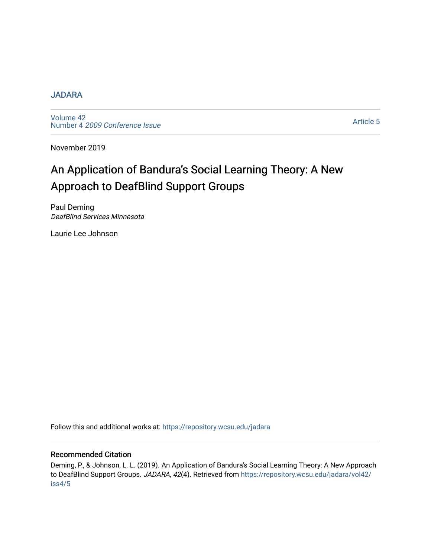#### [JADARA](https://repository.wcsu.edu/jadara)

[Volume 42](https://repository.wcsu.edu/jadara/vol42)  Number 4 [2009 Conference Issue](https://repository.wcsu.edu/jadara/vol42/iss4) 

[Article 5](https://repository.wcsu.edu/jadara/vol42/iss4/5) 

November 2019

# An Application of Bandura's Social Learning Theory: A New Approach to DeafBlind Support Groups

Paul Deming DeafBlind Services Minnesota

Laurie Lee Johnson

Follow this and additional works at: [https://repository.wcsu.edu/jadara](https://repository.wcsu.edu/jadara?utm_source=repository.wcsu.edu%2Fjadara%2Fvol42%2Fiss4%2F5&utm_medium=PDF&utm_campaign=PDFCoverPages)

#### Recommended Citation

Deming, P., & Johnson, L. L. (2019). An Application of Bandura's Social Learning Theory: A New Approach to DeafBlind Support Groups. JADARA, 42(4). Retrieved from [https://repository.wcsu.edu/jadara/vol42/](https://repository.wcsu.edu/jadara/vol42/iss4/5?utm_source=repository.wcsu.edu%2Fjadara%2Fvol42%2Fiss4%2F5&utm_medium=PDF&utm_campaign=PDFCoverPages) [iss4/5](https://repository.wcsu.edu/jadara/vol42/iss4/5?utm_source=repository.wcsu.edu%2Fjadara%2Fvol42%2Fiss4%2F5&utm_medium=PDF&utm_campaign=PDFCoverPages)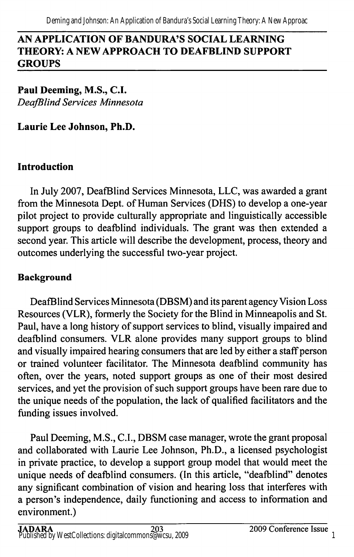#### AN APPLICATION OF BANDURA'S SOCIAL LEARNING THEORY: A NEW APPROACH TO DEAFBLIND SUPPORT GROUPS

Paul Deeming, M.S., C.I. DeafBlind Services Minnesota

Laurie Lee Johnson, Ph.D.

# Introduction

In July 2007, DeafBlind Services Minnesota, LLC, was awarded a grant from the Minnesota Dept. of Human Services (DHS) to develop a one-year pilot project to provide culturally appropriate and linguistically accessible support groups to deafblind individuals. The grant was then extended a second year. This article will describe the development, process, theory and outcomes underlying the successful two-year project.

# **Background**

DeafBlind Services Minnesota (DBSM) and its parent agency Vision Loss Resources (VLR), formerly the Society for the Blind in Minneapolis and St. Paul, have a long history of support services to blind, visually impaired and deafblind consumers. VLR alone provides many support groups to blind and visually impaired hearing consumers that are led by either a staff person or trained volunteer facilitator. The Minnesota deafblind community has often, over the years, noted support groups as one of their most desired services, and yet the provision of such support groups have been rare due to the unique needs of the population, the lack of qualified facilitators and the funding issues involved.

Paul Deeming, M.S., C.I., DBSM case manager, wrote the grant proposal and collaborated with Laurie Lee Johnson, Ph.D., a licensed psychologist in private practice, to develop a support group model that would meet the unique needs of deafblind consumers. (In this article, "deafblind" denotes any significant combination of vision and hearing loss that interferes with a person's independence, daily functioning and access to information and environment.)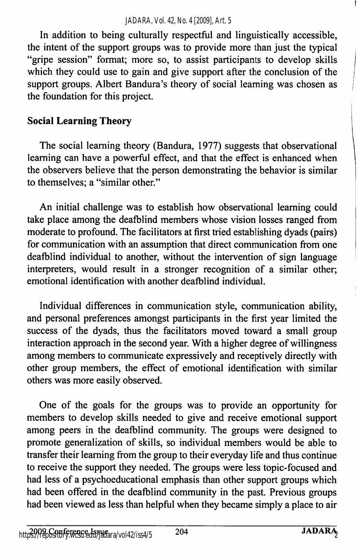In addition to being culturally respectful and linguistically accessible, the intent of the support groups was to provide more than just the typical "gripe session" format; more so, to assist participants to develop skills which they could use to gain and give support after the conclusion of the support groups. Albert Bandura's theory of social learning was chosen as the foundation for this project.

# Social Learning Theory

The social learning theory (Bandura, 1977) suggests that observational learning can have a powerful effect, and that the effect is enhanced when the observers believe that the person demonstrating the behavior is similar to themselves; a "similar other."

An initial challenge was to establish how observational leaming could take place among the deafblind members whose vision losses ranged from moderate to profound. The facilitators at first tried establishing dyads (pairs) for communication with an assumption that direct communication from one deafblind individual to another, without the intervention of sign language interpreters, would result in a stronger recognition of a similar other; emotional identification with another deafblind individual.

Individual differences in communication style, communication ability, and personal preferences amongst participants in the first year limited the success of the dyads, thus the facilitators moved toward a small group interaction approach in the second year. With a higher degree of willingness among members to communicate expressively and receptively directly with other group members, the effect of emotional identification with similar others was more easily observed.

One of the goals for the groups was to provide an opportunity for members to develop skills needed to give and receive emotional support among peers in the deafblind community. The groups were designed to promote generalization of skills, so individual members would be able to transfer their leaming from the group to their everyday life and thus continue to receive the support they needed. The groups were less topic-focused and had less of a psychoeducational emphasis than other support groups which had been offered in the deafblind community in the past. Previous groups had been viewed as less than helpful when they became simply a place to air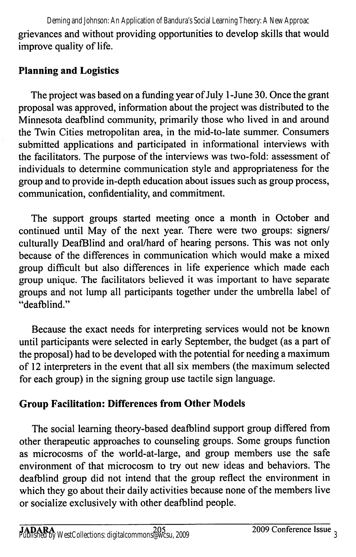grievances and without providing opportunities to develop skills that would improve quality of life. Deming and Johnson: An Application of Bandura's Social Learning Theory: A New Approac

# Planning and Logistics

The project was based on a funding year of July 1 -June 30. Once the grant proposal was approved, information about the project was distributed to the Minnesota deafblind community, primarily those who lived in and around the Twin Cities metropolitan area, in the mid-to-late summer. Consumers submitted applications and participated in informational interviews with the facilitators. The purpose of the interviews was two-fold: assessment of individuals to determine communication style and appropriateness for the group and to provide in-depth education about issues such as group process, communication, confidentiality, and commitment.

The support groups started meeting once a month in October and continued until May of the next year. There were two groups: signers/ culturally DeafBlind and oral/hard of hearing persons. This was not only because of the differences in communication which would make a mixed group difficult but also differences in life experience which made each group unique. The facilitators believed it was important to have separate groups and not lump all participants together under the umbrella label of "deafblind."

Because the exact needs for interpreting services would not be known until participants were selected in early September, the budget (as a part of the proposal) had to be developed with the potential for needing a maximum of 12 interpreters in the event that all six members (the maximum selected for each group) in the signing group use tactile sign language.

# Group Facilitation: Differences from Other Models

The social learning theory-based deafblind support group differed from other therapeutic approaches to counseling groups. Some groups function as microcosms of the world-at-large, and group members use the safe environment of that microcosm to try out new ideas and behaviors. The deafblind group did not intend that the group reflect the environment in which they go about their daily activities because none of the members live or socialize exclusively with other deafblind people.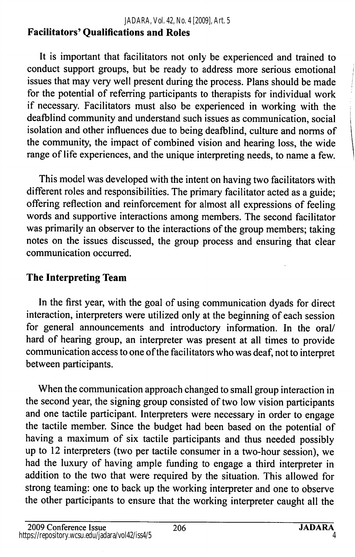## Facilitators' Qualifications and Roles

It is important that facilitators not only be experienced and trained to conduct support groups, but be ready to address more serious emotional issues that may very well present during the process. Plans should be made for the potential of referring participants to therapists for individual work if necessary. Facilitators must also be experienced in working with the deafblind community and understand such issues as communication, social isolation and other influences due to being deafblind, culture and norms of the community, the impact of combined vision and hearing loss, the wide range of life experiences, and the unique interpreting needs, to name a few.

This model was developed with the intent on having two facilitators with different roles and responsibilities. The primary facilitator acted as a guide; offering reflection and reinforcement for almost all expressions of feeling words and supportive interactions among members. The second facilitator was primarily an observer to the interactions of the group members; taking notes on the issues discussed, the group process and ensuring that clear communication occurred.

## The Interpreting Team

In the first year, with the goal of using communication dyads for direct interaction, interpreters were utilized only at the beginning of each session for general announcements and introductory information. In the oral/ hard of hearing group, an interpreter was present at all times to provide communication access to one of the facilitators who was deaf, not to interpret between participants.

When the communication approach changed to small group interaction in the second year, the signing group consisted of two low vision participants and one tactile participant. Interpreters were necessary in order to engage the tactile member. Since the budget had been based on the potential of having a maximum of six tactile participants and thus needed possibly up to 12 interpreters (two per tactile consumer in a two-hour session), we had the luxury of having ample funding to engage a third interpreter in addition to the two that were required by the situation. This allowed for strong teaming: one to back up the working interpreter and one to observe the other participants to ensure that the working interpreter caught all the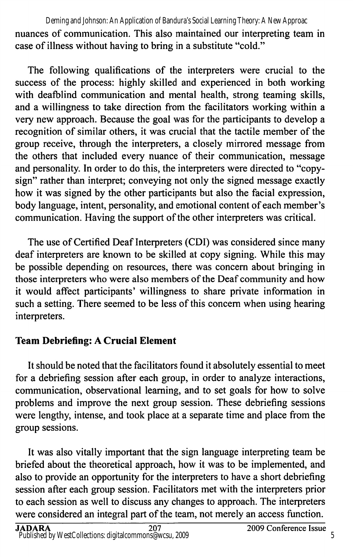nuances of communication. This also maintained our interpreting team in case of illness without having to bring in a substitute "cold." Deming and Johnson: An Application of Bandura's Social Learning Theory: A New Approac

The following qualifications of the interpreters were crucial to the success of the process: highly skilled and experienced in both working with deafblind communication and mental health, strong teaming skills, and a willingness to take direction from the facilitators working within a very new approach. Because the goal was for the participants to develop a recognition of similar others, it was crucial that the tactile member of the group receive, through the interpreters, a closely mirrored message from the others that included every nuance of their communication, message and personality. In order to do this, the interpreters were directed to "copysign" rather than interpret; conveying not only the signed message exactly how it was signed by the other participants but also the facial expression, body language, intent, personality, and emotional content of each member's communication. Having the support of the other interpreters was critical.

The use of Certified Deaf Interpreters (GDI) was considered since many deaf interpreters are known to be skilled at copy signing. While this may be possible depending on resources, there was concern about bringing in those interpreters who were also members of the Deaf community and how it would affect participants' willingness to share private information in such a setting. There seemed to be less of this concem when using hearing interpreters.

### Team Debriefing: A Crucial Element

It should be noted that the facilitators found it absolutely essential to meet for a debriefing session after each group, in order to analyze interactions, communication, observational learning, and to set goals for how to solve problems and improve the next group session. These debriefing sessions were lengthy, intense, and took place at a separate time and place from the group sessions.

It was also vitally important that the sign language interpreting team be briefed about the theoretical approach, how it was to be implemented, and also to provide an opportunity for the interpreters to have a short debriefing session after each group session. Facilitators met with the interpreters prior to each session as well to discuss any changes to approach. The interpreters were considered an integral part of the team, not merely an access function.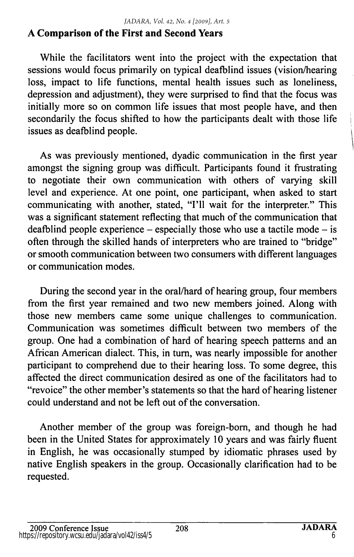## A Comparison of the First and Second Years

While the facilitators went into the project with the expectation that sessions would focus primarily on typical deafblind issues (vision/hearing loss, impact to life functions, mental health issues such as loneliness, depression and adjustment), they were surprised to find that the focus was initially more so on common life issues that most people have, and then secondarily the focus shifted to how the participants dealt with those life issues as deafblind people.

As was previously mentioned, dyadic communication in the first year amongst the signing group was difficult. Participants found it frustrating to negotiate their own communication with others of varying skill level and experience. At one point, one participant, when asked to start communicating with another, stated, "I'll wait for the interpreter." This was a significant statement reflecting that much of the communication that deafblind people experience – especially those who use a tactile mode – is often through the skilled hands of interpreters who are trained to "bridge" or smooth communication between two consumers with different languages or communication modes.

During the second year in the oral/hard of hearing group, four members from the first year remained and two new members joined. Along with those new members came some unique challenges to communication. Communication was sometimes difficult between two members of the group. One had a combination of hard of hearing speech patterns and an African American dialect. This, in turn, was nearly impossible for another participant to comprehend due to their hearing loss. To some degree, this affected the direct communication desired as one of the facilitators had to "revoice" the other member's statements so that the hard of hearing listener could understand and not be left out of the conversation.

Another member of the group was foreign-bom, and though he had been in the United States for approximately 10 years and was fairly fluent in English, he was occasionally stumped by idiomatic phrases used by native English speakers in the group. Occasionally clarification had to be requested.